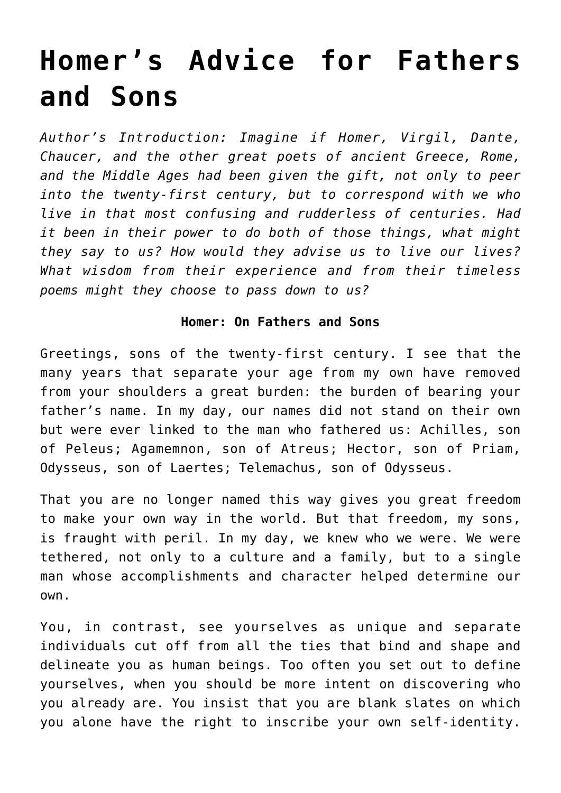## **[Homer's Advice for Fathers](https://intellectualtakeout.org/2019/01/homers-advice-for-fathers-and-sons/) [and Sons](https://intellectualtakeout.org/2019/01/homers-advice-for-fathers-and-sons/)**

*Author's Introduction: Imagine if Homer, Virgil, Dante, Chaucer, and the other great poets of ancient Greece, Rome, and the Middle Ages had been given the gift, not only to peer into the twenty-first century, but to correspond with we who live in that most confusing and rudderless of centuries. Had it been in their power to do both of those things, what might they say to us? How would they advise us to live our lives? What wisdom from their experience and from their timeless poems might they choose to pass down to us?*

## **Homer: On Fathers and Sons**

Greetings, sons of the twenty-first century. I see that the many years that separate your age from my own have removed from your shoulders a great burden: the burden of bearing your father's name. In my day, our names did not stand on their own but were ever linked to the man who fathered us: Achilles, son of Peleus; Agamemnon, son of Atreus; Hector, son of Priam, Odysseus, son of Laertes; Telemachus, son of Odysseus.

That you are no longer named this way gives you great freedom to make your own way in the world. But that freedom, my sons, is fraught with peril. In my day, we knew who we were. We were tethered, not only to a culture and a family, but to a single man whose accomplishments and character helped determine our own.

You, in contrast, see yourselves as unique and separate individuals cut off from all the ties that bind and shape and delineate you as human beings. Too often you set out to define yourselves, when you should be more intent on discovering who you already are. You insist that you are blank slates on which you alone have the right to inscribe your own self-identity.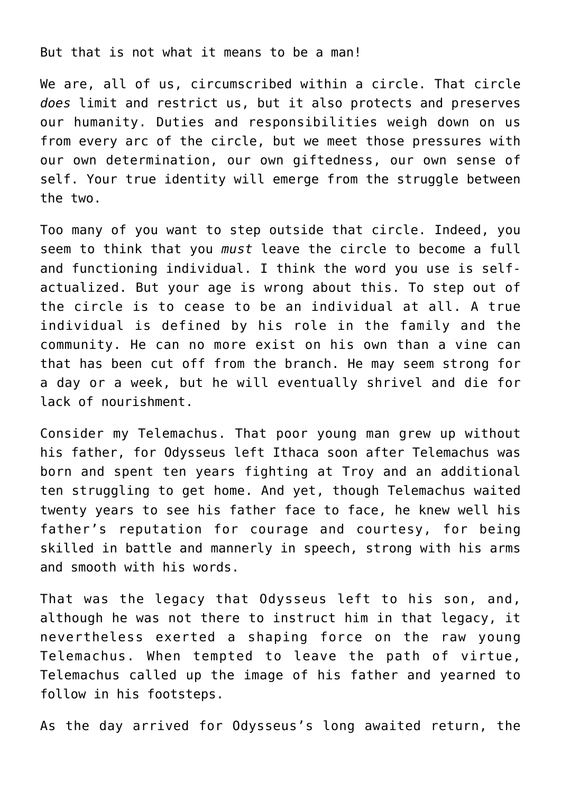But that is not what it means to be a man!

We are, all of us, circumscribed within a circle. That circle *does* limit and restrict us, but it also protects and preserves our humanity. Duties and responsibilities weigh down on us from every arc of the circle, but we meet those pressures with our own determination, our own giftedness, our own sense of self. Your true identity will emerge from the struggle between the two.

Too many of you want to step outside that circle. Indeed, you seem to think that you *must* leave the circle to become a full and functioning individual. I think the word you use is selfactualized. But your age is wrong about this. To step out of the circle is to cease to be an individual at all. A true individual is defined by his role in the family and the community. He can no more exist on his own than a vine can that has been cut off from the branch. He may seem strong for a day or a week, but he will eventually shrivel and die for lack of nourishment.

Consider my Telemachus. That poor young man grew up without his father, for Odysseus left Ithaca soon after Telemachus was born and spent ten years fighting at Troy and an additional ten struggling to get home. And yet, though Telemachus waited twenty years to see his father face to face, he knew well his father's reputation for courage and courtesy, for being skilled in battle and mannerly in speech, strong with his arms and smooth with his words.

That was the legacy that Odysseus left to his son, and, although he was not there to instruct him in that legacy, it nevertheless exerted a shaping force on the raw young Telemachus. When tempted to leave the path of virtue, Telemachus called up the image of his father and yearned to follow in his footsteps.

As the day arrived for Odysseus's long awaited return, the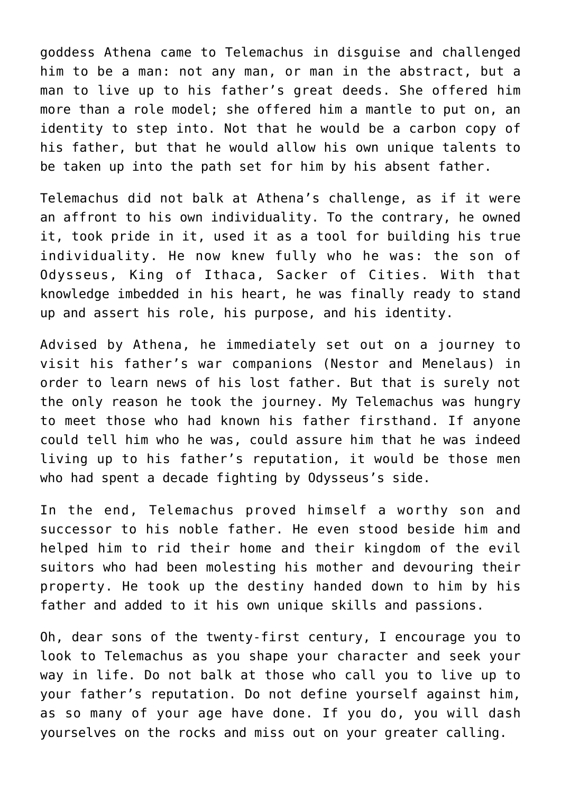goddess Athena came to Telemachus in disguise and challenged him to be a man: not any man, or man in the abstract, but a man to live up to his father's great deeds. She offered him more than a role model; she offered him a mantle to put on, an identity to step into. Not that he would be a carbon copy of his father, but that he would allow his own unique talents to be taken up into the path set for him by his absent father.

Telemachus did not balk at Athena's challenge, as if it were an affront to his own individuality. To the contrary, he owned it, took pride in it, used it as a tool for building his true individuality. He now knew fully who he was: the son of Odysseus, King of Ithaca, Sacker of Cities. With that knowledge imbedded in his heart, he was finally ready to stand up and assert his role, his purpose, and his identity.

Advised by Athena, he immediately set out on a journey to visit his father's war companions (Nestor and Menelaus) in order to learn news of his lost father. But that is surely not the only reason he took the journey. My Telemachus was hungry to meet those who had known his father firsthand. If anyone could tell him who he was, could assure him that he was indeed living up to his father's reputation, it would be those men who had spent a decade fighting by Odysseus's side.

In the end, Telemachus proved himself a worthy son and successor to his noble father. He even stood beside him and helped him to rid their home and their kingdom of the evil suitors who had been molesting his mother and devouring their property. He took up the destiny handed down to him by his father and added to it his own unique skills and passions.

Oh, dear sons of the twenty-first century, I encourage you to look to Telemachus as you shape your character and seek your way in life. Do not balk at those who call you to live up to your father's reputation. Do not define yourself against him, as so many of your age have done. If you do, you will dash yourselves on the rocks and miss out on your greater calling.